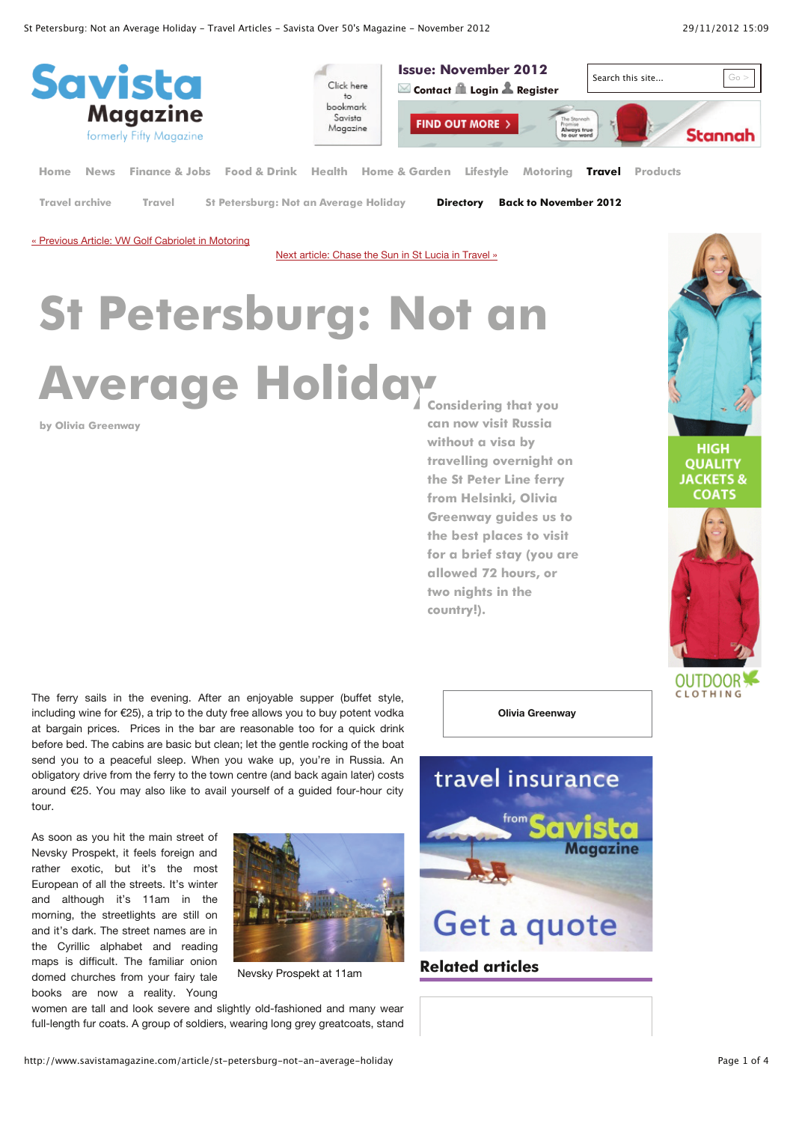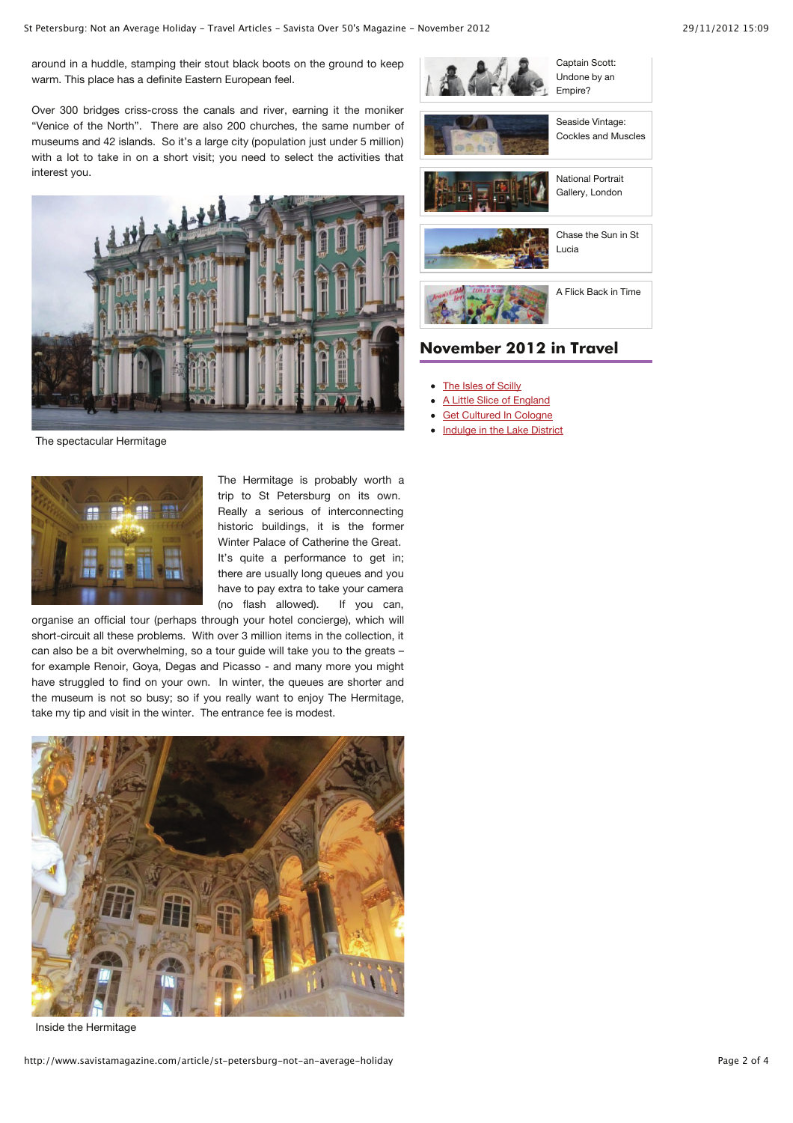around in a huddle, stamping their stout black boots on the ground to keep warm. This place has a definite Eastern European feel.

Over 300 bridges criss-cross the canals and river, earning it the moniker "Venice of the North". There are also 200 churches, the same number of museums and 42 islands. So it's a large city (population just under 5 million) with a lot to take in on a short visit; you need to select the activities that interest you.



The spectacular Hermitage



The Hermitage is probably worth a trip to St Petersburg on its own. Really a serious of interconnecting historic buildings, it is the former Winter Palace of Catherine the Great. It's quite a performance to get in; there are usually long queues and you have to pay extra to take your camera (no flash allowed). If you can,

organise an official tour (perhaps through your hotel concierge), which will short-circuit all these problems. With over 3 million items in the collection, it can also be a bit overwhelming, so a tour guide will take you to the greats – for example Renoir, Goya, Degas and Picasso - and many more you might have struggled to find on your own. In winter, the queues are shorter and the museum is not so busy; so if you really want to enjoy The Hermitage, take my tip and visit in the winter. The entrance fee is modest.



Inside the Hermitage



## **November 2012 in Travel**

- The Isles of Scilly
- A Little Slice of England
- Get Cultured In Cologne
- Indulge in the Lake District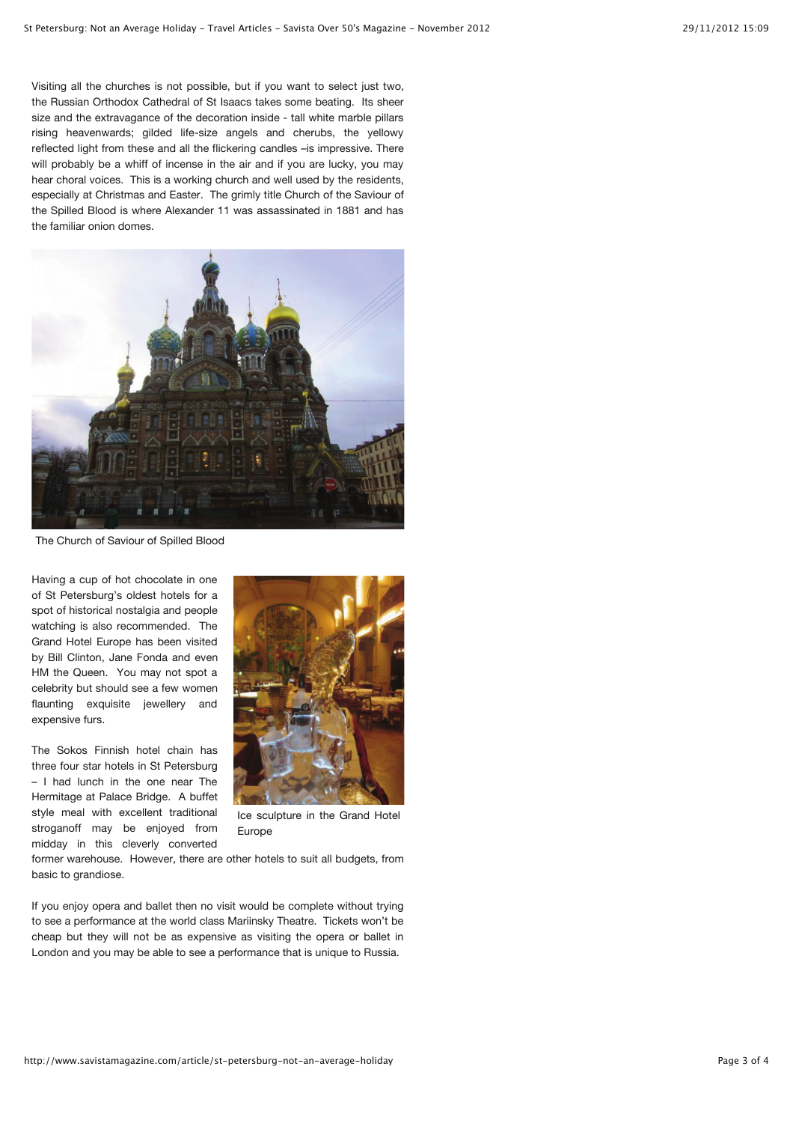Visiting all the churches is not possible, but if you want to select just two, the Russian Orthodox Cathedral of St Isaacs takes some beating. Its sheer size and the extravagance of the decoration inside - tall white marble pillars rising heavenwards; gilded life-size angels and cherubs, the yellowy reflected light from these and all the flickering candles –is impressive. There will probably be a whiff of incense in the air and if you are lucky, you may hear choral voices. This is a working church and well used by the residents, especially at Christmas and Easter. The grimly title Church of the Saviour of the Spilled Blood is where Alexander 11 was assassinated in 1881 and has the familiar onion domes.



The Church of Saviour of Spilled Blood

Having a cup of hot chocolate in one of St Petersburg's oldest hotels for a spot of historical nostalgia and people watching is also recommended. The Grand Hotel Europe has been visited by Bill Clinton, Jane Fonda and even HM the Queen. You may not spot a celebrity but should see a few women flaunting exquisite jewellery and expensive furs.

The Sokos Finnish hotel chain has three four star hotels in St Petersburg – I had lunch in the one near The Hermitage at Palace Bridge. A buffet style meal with excellent traditional stroganoff may be enjoyed from midday in this cleverly converted



Ice sculpture in the Grand Hotel Europe

former warehouse. However, there are other hotels to suit all budgets, from basic to grandiose.

If you enjoy opera and ballet then no visit would be complete without trying to see a performance at the world class Mariinsky Theatre. Tickets won't be cheap but they will not be as expensive as visiting the opera or ballet in London and you may be able to see a performance that is unique to Russia.